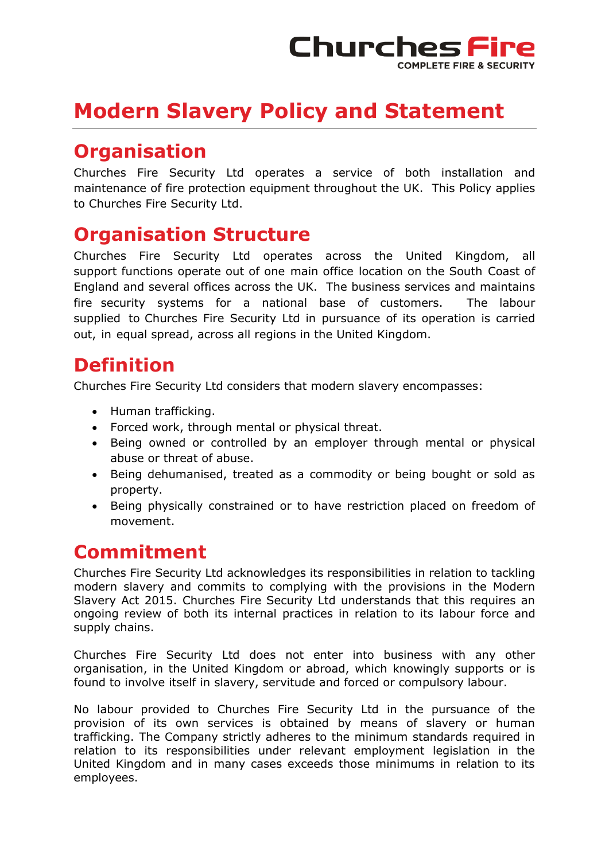

# **Modern Slavery Policy and Statement**

#### **Organisation**

Churches Fire Security Ltd operates a service of both installation and maintenance of fire protection equipment throughout the UK. This Policy applies to Churches Fire Security Ltd.

#### **Organisation Structure**

Churches Fire Security Ltd operates across the United Kingdom, all support functions operate out of one main office location on the South Coast of England and several offices across the UK. The business services and maintains fire security systems for a national base of customers. The labour supplied to Churches Fire Security Ltd in pursuance of its operation is carried out, in equal spread, across all regions in the United Kingdom.

#### **Definition**

Churches Fire Security Ltd considers that modern slavery encompasses:

- Human trafficking.
- Forced work, through mental or physical threat.
- Being owned or controlled by an employer through mental or physical abuse or threat of abuse.
- Being dehumanised, treated as a commodity or being bought or sold as property.
- Being physically constrained or to have restriction placed on freedom of movement.

## **Commitment**

Churches Fire Security Ltd acknowledges its responsibilities in relation to tackling modern slavery and commits to complying with the provisions in the Modern Slavery Act 2015. Churches Fire Security Ltd understands that this requires an ongoing review of both its internal practices in relation to its labour force and supply chains.

Churches Fire Security Ltd does not enter into business with any other organisation, in the United Kingdom or abroad, which knowingly supports or is found to involve itself in slavery, servitude and forced or compulsory labour.

No labour provided to Churches Fire Security Ltd in the pursuance of the provision of its own services is obtained by means of slavery or human trafficking. The Company strictly adheres to the minimum standards required in relation to its responsibilities under relevant employment legislation in the United Kingdom and in many cases exceeds those minimums in relation to its employees.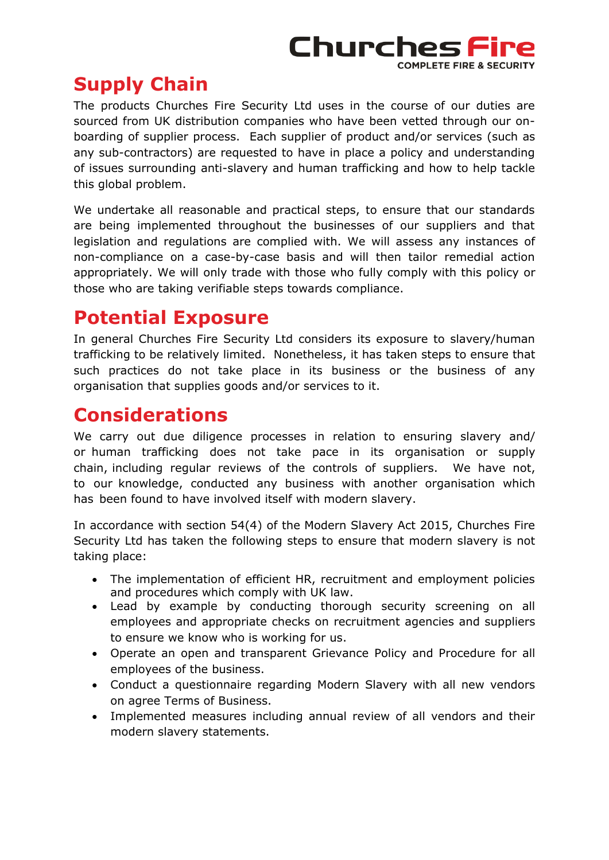

# **Supply Chain**

The products Churches Fire Security Ltd uses in the course of our duties are sourced from UK distribution companies who have been vetted through our onboarding of supplier process. Each supplier of product and/or services (such as any sub-contractors) are requested to have in place a policy and understanding of issues surrounding anti-slavery and human trafficking and how to help tackle this global problem.

We undertake all reasonable and practical steps, to ensure that our standards are being implemented throughout the businesses of our suppliers and that legislation and regulations are complied with. We will assess any instances of non-compliance on a case-by-case basis and will then tailor remedial action appropriately. We will only trade with those who fully comply with this policy or those who are taking verifiable steps towards compliance.

### **Potential Exposure**

In general Churches Fire Security Ltd considers its exposure to slavery/human trafficking to be relatively limited. Nonetheless, it has taken steps to ensure that such practices do not take place in its business or the business of any organisation that supplies goods and/or services to it.

### **Considerations**

We carry out due diligence processes in relation to ensuring slavery and/ or human trafficking does not take pace in its organisation or supply chain, including regular reviews of the controls of suppliers. We have not, to our knowledge, conducted any business with another organisation which has been found to have involved itself with modern slavery.

In accordance with section 54(4) of the Modern Slavery Act 2015, Churches Fire Security Ltd has taken the following steps to ensure that modern slavery is not taking place:

- The implementation of efficient HR, recruitment and employment policies and procedures which comply with UK law.
- Lead by example by conducting thorough security screening on all employees and appropriate checks on recruitment agencies and suppliers to ensure we know who is working for us.
- Operate an open and transparent Grievance Policy and Procedure for all employees of the business.
- Conduct a questionnaire regarding Modern Slavery with all new vendors on agree Terms of Business.
- Implemented measures including annual review of all vendors and their modern slavery statements.